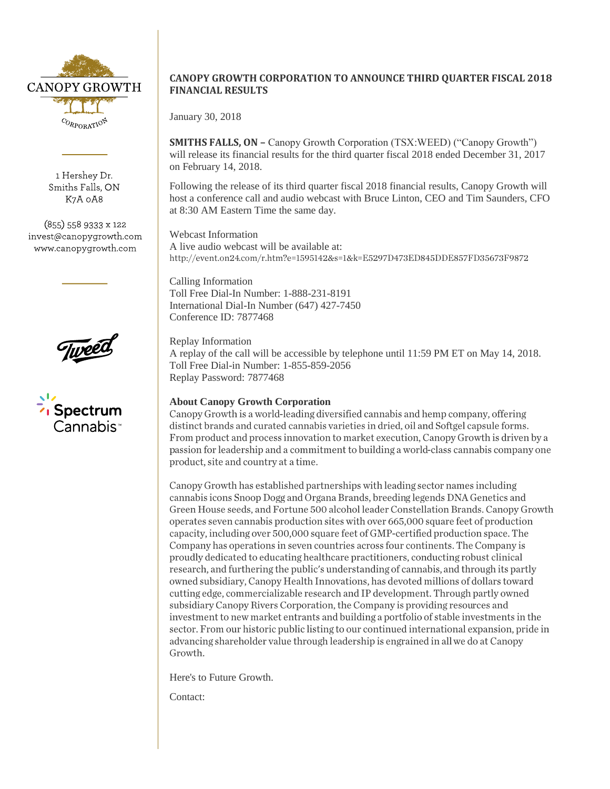

1 Hershey Dr. Smiths Falls, ON K7A 0A8

(855) 558 9333 x 122 invest@canopygrowth.com www.canopygrowth.com





## **CANOPY GROWTH CORPORATION TO ANNOUNCE THIRD QUARTER FISCAL 2018 FINANCIAL RESULTS**

January 30, 2018

**SMITHS FALLS, ON –** Canopy Growth Corporation (TSX:WEED) ("Canopy Growth") will release its financial results for the third quarter fiscal 2018 ended December 31, 2017 on February 14, 2018.

Following the release of its third quarter fiscal 2018 financial results, Canopy Growth will host a conference call and audio webcast with Bruce Linton, CEO and Tim Saunders, CFO at 8:30 AM Eastern Time the same day.

Webcast Information A live audio webcast will be available at: http://event.on24.com/r.htm?e=1595142&s=1&k=E5297D473ED845DDE857FD35673F9872

Calling Information Toll Free Dial-In Number: 1-888-231-8191 International Dial-In Number (647) 427-7450 Conference ID: 7877468

Replay Information A replay of the call will be accessible by telephone until 11:59 PM ET on May 14, 2018. Toll Free Dial-in Number: 1-855-859-2056 Replay Password: 7877468

**About Canopy Growth Corporation**<br>Canopy Growth is a world-leading diversified cannabis and hemp company, offering distinct brands and curated cannabis varieties in dried, oil and Softgel capsule forms. From product and process innovation to market execution, Canopy Growth is driven by a passion for leadership and a commitment to building a world-class cannabis company one product, site and country at a time.

Canopy Growth has established partnerships with leading sector names including cannabis icons Snoop Dogg and Organa Brands, breeding legends DNA Genetics and Green House seeds, and Fortune 500 alcohol leader Constellation Brands. Canopy Growth operates seven cannabis production sites with over 665,000 square feet of production capacity, including over 500,000 square feet of GMP-certified production space. The Company has operations in seven countries across four continents. The Company is proudly dedicated to educating healthcare practitioners, conducting robust clinical research, and furthering the public's understanding of cannabis, and through its partly owned subsidiary, Canopy Health Innovations, has devoted millions of dollars toward cutting edge, commercializable research and IP development. Through partly owned subsidiary Canopy Rivers Corporation, the Company is providing resources and investment to new market entrants and building a portfolio of stable investments in the sector. From our historic public listing to our continued international expansion, pride in advancing shareholder value through leadership is engrained in all we do at Canopy Growth.

Here's to Future Growth.

Contact: